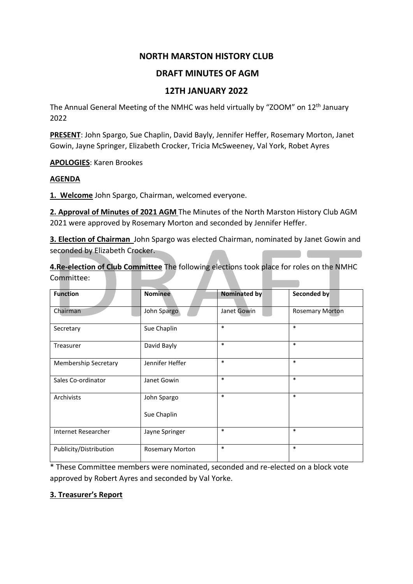# **NORTH MARSTON HISTORY CLUB**

# **DRAFT MINUTES OF AGM**

# **12TH JANUARY 2022**

The Annual General Meeting of the NMHC was held virtually by "ZOOM" on 12<sup>th</sup> January 2022

**PRESENT**: John Spargo, Sue Chaplin, David Bayly, Jennifer Heffer, Rosemary Morton, Janet Gowin, Jayne Springer, Elizabeth Crocker, Tricia McSweeney, Val York, Robet Ayres

**APOLOGIES**: Karen Brookes

### **AGENDA**

**1. Welcome** John Spargo, Chairman, welcomed everyone.

**2. Approval of Minutes of 2021 AGM** The Minutes of the North Marston History Club AGM 2021 were approved by Rosemary Morton and seconded by Jennifer Heffer.

**3. Election of Chairman** John Spargo was elected Chairman, nominated by Janet Gowin and seconded by Elizabeth Crocker.

**4.Re-election of Club Committee** The following elections took place for roles on the NMHC Committee:

| <b>Function</b>             | <b>Nominee</b>         | <b>Nominated by</b> | Seconded by            |  |  |
|-----------------------------|------------------------|---------------------|------------------------|--|--|
| Chairman                    | John Spargo            | Janet Gowin         | <b>Rosemary Morton</b> |  |  |
| Secretary                   | Sue Chaplin            | $\ast$              | $\ast$                 |  |  |
| Treasurer                   | David Bayly            | $\ast$              | $\ast$                 |  |  |
| <b>Membership Secretary</b> | Jennifer Heffer        | $\ast$              | $\ast$                 |  |  |
| Sales Co-ordinator          | Janet Gowin            | $\ast$              | $\ast$                 |  |  |
| Archivists                  | John Spargo            | $\ast$              | $\ast$                 |  |  |
|                             | Sue Chaplin            |                     |                        |  |  |
| Internet Researcher         | Jayne Springer         | $\ast$              | $\ast$                 |  |  |
| Publicity/Distribution      | <b>Rosemary Morton</b> | $\ast$              | $\ast$                 |  |  |

\* These Committee members were nominated, seconded and re-elected on a block vote approved by Robert Ayres and seconded by Val Yorke.

### **3. Treasurer's Report**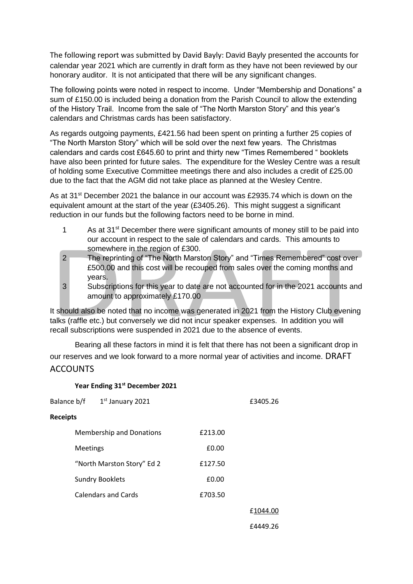The following report was submitted by David Bayly: David Bayly presented the accounts for calendar year 2021 which are currently in draft form as they have not been reviewed by our honorary auditor. It is not anticipated that there will be any significant changes.

The following points were noted in respect to income. Under "Membership and Donations" a sum of £150.00 is included being a donation from the Parish Council to allow the extending of the History Trail. Income from the sale of "The North Marston Story" and this year's calendars and Christmas cards has been satisfactory.

As regards outgoing payments, £421.56 had been spent on printing a further 25 copies of "The North Marston Story" which will be sold over the next few years. The Christmas calendars and cards cost £645.60 to print and thirty new "Times Remembered " booklets have also been printed for future sales. The expenditure for the Wesley Centre was a result of holding some Executive Committee meetings there and also includes a credit of £25.00 due to the fact that the AGM did not take place as planned at the Wesley Centre.

As at 31<sup>st</sup> December 2021 the balance in our account was £2935.74 which is down on the equivalent amount at the start of the year (£3405.26). This might suggest a significant reduction in our funds but the following factors need to be borne in mind.

- 1 As at  $31^{st}$  December there were significant amounts of money still to be paid into our account in respect to the sale of calendars and cards. This amounts to somewhere in the region of £300.
- 2 The reprinting of "The North Marston Story" and "Times Remembered" cost over £500.00 and this cost will be recouped from sales over the coming months and years.
- 3 Subscriptions for this year to date are not accounted for in the 2021 accounts and amount to approximately £170.00

It should also be noted that no income was generated in 2021 from the History Club evening talks (raffle etc.) but conversely we did not incur speaker expenses. In addition you will recall subscriptions were suspended in 2021 due to the absence of events.

Bearing all these factors in mind it is felt that there has not been a significant drop in our reserves and we look forward to a more normal year of activities and income. DRAFT **ACCOUNTS** 

### **Year Ending 31st December 2021**

| 1st January 2021<br>Balance b/f |                                 |         | £3405.26 |
|---------------------------------|---------------------------------|---------|----------|
| <b>Receipts</b>                 |                                 |         |          |
|                                 | <b>Membership and Donations</b> | £213.00 |          |
| Meetings                        |                                 | £0.00   |          |
|                                 | "North Marston Story" Ed 2      | £127.50 |          |
|                                 | <b>Sundry Booklets</b>          | £0.00   |          |
|                                 | <b>Calendars and Cards</b>      | £703.50 |          |
|                                 |                                 |         | £1044.00 |
|                                 |                                 |         | £4449.26 |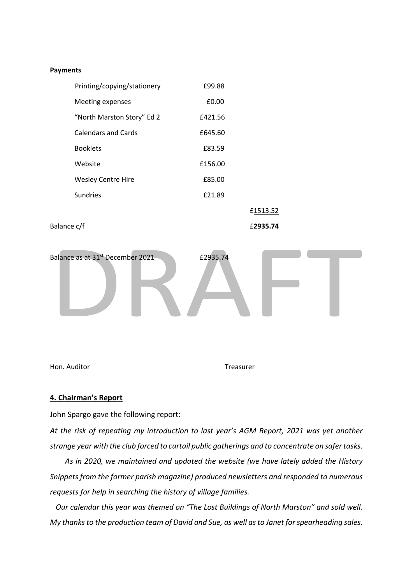#### **Payments**

| Printing/copying/stationery | £99.88  |          |  |  |
|-----------------------------|---------|----------|--|--|
| Meeting expenses            | £0.00   |          |  |  |
| "North Marston Story" Ed 2  | £421.56 |          |  |  |
| <b>Calendars and Cards</b>  | £645.60 |          |  |  |
| <b>Booklets</b>             | £83.59  |          |  |  |
| Website                     | £156.00 |          |  |  |
| <b>Wesley Centre Hire</b>   | £85.00  |          |  |  |
| <b>Sundries</b>             | £21.89  |          |  |  |
|                             |         | £1513.52 |  |  |
|                             |         |          |  |  |

Balance c/f £**2935.74**



Hon. Auditor **The Example 2018** Treasurer

### **4. Chairman's Report**

John Spargo gave the following report:

*At the risk of repeating my introduction to last year's AGM Report, 2021 was yet another strange year with the club forced to curtail public gatherings and to concentrate on safer tasks.* 

 *As in 2020, we maintained and updated the website (we have lately added the History Snippets from the former parish magazine) produced newsletters and responded to numerous requests for help in searching the history of village families.*

 *Our calendar this year was themed on "The Lost Buildings of North Marston" and sold well. My thanks to the production team of David and Sue, as well as to Janet for spearheading sales.*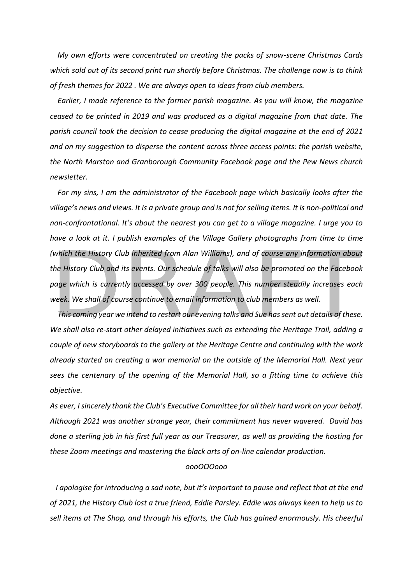*My own efforts were concentrated on creating the packs of snow-scene Christmas Cards which sold out of its second print run shortly before Christmas. The challenge now is to think of fresh themes for 2022 . We are always open to ideas from club members.*

 *Earlier, I made reference to the former parish magazine. As you will know, the magazine ceased to be printed in 2019 and was produced as a digital magazine from that date. The parish council took the decision to cease producing the digital magazine at the end of 2021 and on my suggestion to disperse the content across three access points: the parish website, the North Marston and Granborough Community Facebook page and the Pew News church newsletter.* 

 *For my sins, I am the administrator of the Facebook page which basically looks after the village's news and views. It is a private group and is not for selling items. It is non-political and non-confrontational. It's about the nearest you can get to a village magazine. I urge you to have a look at it. I publish examples of the Village Gallery photographs from time to time (which the History Club inherited from Alan Williams), and of course any information about the History Club and its events. Our schedule of talks will also be promoted on the Facebook page which is currently accessed by over 300 people. This number steadily increases each week. We shall of course continue to email information to club members as well.*

 *This coming year we intend to restart our evening talks and Sue has sent out details of these. We shall also re-start other delayed initiatives such as extending the Heritage Trail, adding a couple of new storyboards to the gallery at the Heritage Centre and continuing with the work already started on creating a war memorial on the outside of the Memorial Hall. Next year sees the centenary of the opening of the Memorial Hall, so a fitting time to achieve this objective.*

*As ever, I sincerely thank the Club's Executive Committee for all their hard work on your behalf. Although 2021 was another strange year, their commitment has never wavered. David has done a sterling job in his first full year as our Treasurer, as well as providing the hosting for these Zoom meetings and mastering the black arts of on-line calendar production.*

### *oooOOOooo*

 *I apologise for introducing a sad note, but it's important to pause and reflect that at the end of 2021, the History Club lost a true friend, Eddie Parsley. Eddie was always keen to help us to sell items at The Shop, and through his efforts, the Club has gained enormously. His cheerful*